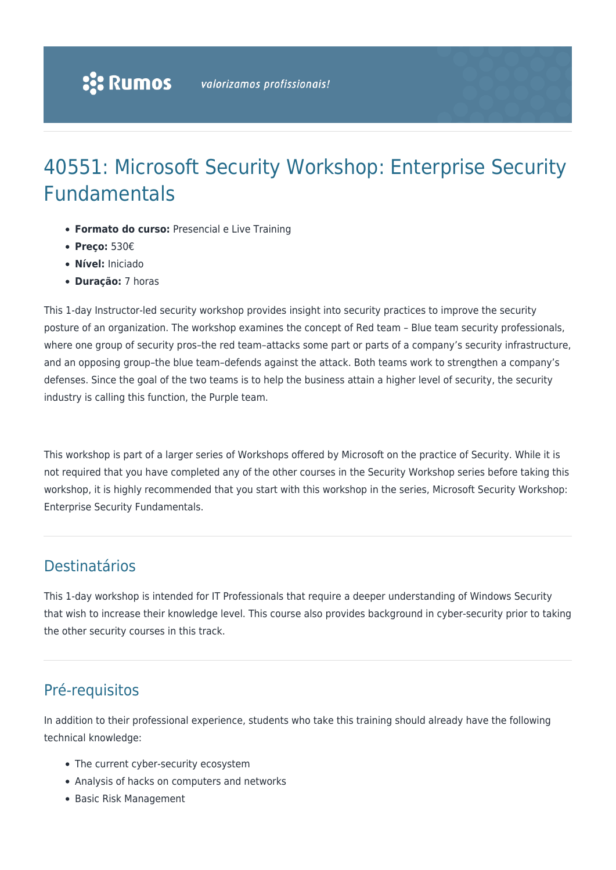# 40551: Microsoft Security Workshop: Enterprise Security Fundamentals

- **Formato do curso:** Presencial e Live Training
- **Preço:** 530€
- **Nível:** Iniciado
- **Duração:** 7 horas

This 1-day Instructor-led security workshop provides insight into security practices to improve the security posture of an organization. The workshop examines the concept of Red team – Blue team security professionals, where one group of security pros–the red team–attacks some part or parts of a company's security infrastructure, and an opposing group–the blue team–defends against the attack. Both teams work to strengthen a company's defenses. Since the goal of the two teams is to help the business attain a higher level of security, the security industry is calling this function, the Purple team.

This workshop is part of a larger series of Workshops offered by Microsoft on the practice of Security. While it is not required that you have completed any of the other courses in the Security Workshop series before taking this workshop, it is highly recommended that you start with this workshop in the series, Microsoft Security Workshop: Enterprise Security Fundamentals.

### Destinatários

This 1-day workshop is intended for IT Professionals that require a deeper understanding of Windows Security that wish to increase their knowledge level. This course also provides background in cyber-security prior to taking the other security courses in this track.

## Pré-requisitos

In addition to their professional experience, students who take this training should already have the following technical knowledge:

- The current cyber-security ecosystem
- Analysis of hacks on computers and networks
- Basic Risk Management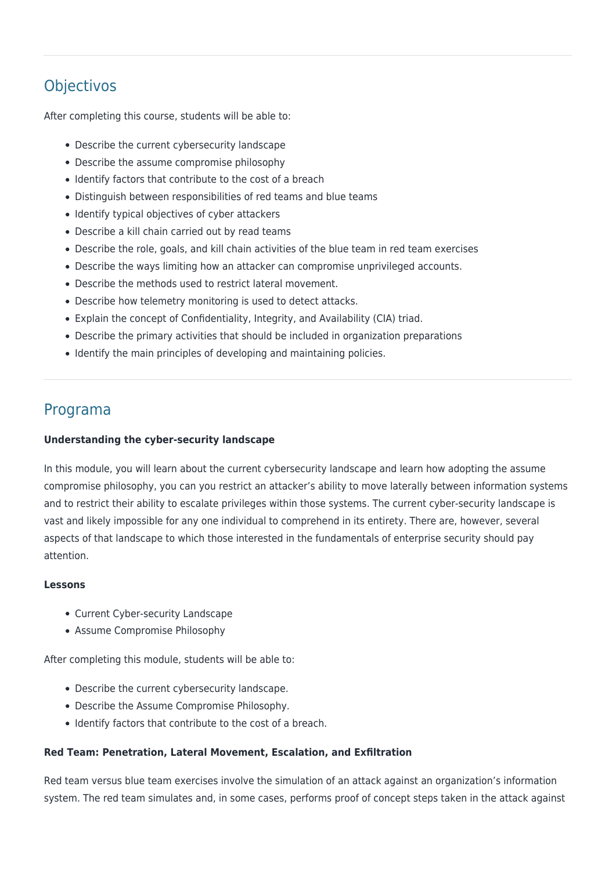# **Objectivos**

After completing this course, students will be able to:

- Describe the current cybersecurity landscape
- Describe the assume compromise philosophy
- Identify factors that contribute to the cost of a breach
- Distinguish between responsibilities of red teams and blue teams
- Identify typical objectives of cyber attackers
- Describe a kill chain carried out by read teams
- Describe the role, goals, and kill chain activities of the blue team in red team exercises
- Describe the ways limiting how an attacker can compromise unprivileged accounts.
- Describe the methods used to restrict lateral movement.
- Describe how telemetry monitoring is used to detect attacks.
- Explain the concept of Confidentiality, Integrity, and Availability (CIA) triad.
- Describe the primary activities that should be included in organization preparations
- Identify the main principles of developing and maintaining policies.

### Programa

#### **Understanding the cyber-security landscape**

In this module, you will learn about the current cybersecurity landscape and learn how adopting the assume compromise philosophy, you can you restrict an attacker's ability to move laterally between information systems and to restrict their ability to escalate privileges within those systems. The current cyber-security landscape is vast and likely impossible for any one individual to comprehend in its entirety. There are, however, several aspects of that landscape to which those interested in the fundamentals of enterprise security should pay attention.

#### **Lessons**

- Current Cyber-security Landscape
- Assume Compromise Philosophy

After completing this module, students will be able to:

- Describe the current cybersecurity landscape.
- Describe the Assume Compromise Philosophy.
- Identify factors that contribute to the cost of a breach.

#### **Red Team: Penetration, Lateral Movement, Escalation, and Exfiltration**

Red team versus blue team exercises involve the simulation of an attack against an organization's information system. The red team simulates and, in some cases, performs proof of concept steps taken in the attack against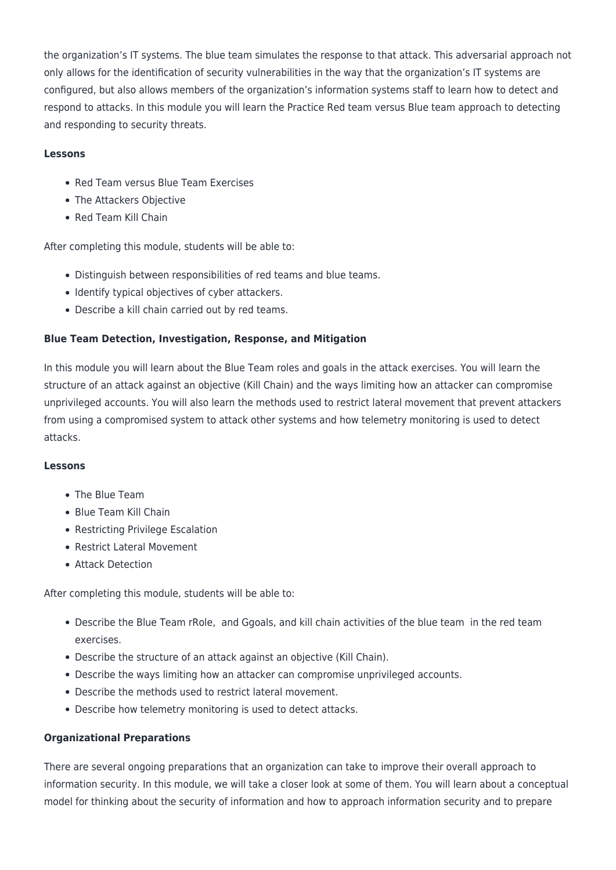the organization's IT systems. The blue team simulates the response to that attack. This adversarial approach not only allows for the identification of security vulnerabilities in the way that the organization's IT systems are configured, but also allows members of the organization's information systems staff to learn how to detect and respond to attacks. In this module you will learn the Practice Red team versus Blue team approach to detecting and responding to security threats.

#### **Lessons**

- Red Team versus Blue Team Exercises
- The Attackers Objective
- Red Team Kill Chain

After completing this module, students will be able to:

- Distinguish between responsibilities of red teams and blue teams.
- Identify typical objectives of cyber attackers.
- Describe a kill chain carried out by red teams.

#### **Blue Team Detection, Investigation, Response, and Mitigation**

In this module you will learn about the Blue Team roles and goals in the attack exercises. You will learn the structure of an attack against an objective (Kill Chain) and the ways limiting how an attacker can compromise unprivileged accounts. You will also learn the methods used to restrict lateral movement that prevent attackers from using a compromised system to attack other systems and how telemetry monitoring is used to detect attacks.

#### **Lessons**

- The Blue Team
- Blue Team Kill Chain
- Restricting Privilege Escalation
- Restrict Lateral Movement
- Attack Detection

After completing this module, students will be able to:

- Describe the Blue Team rRole, and Ggoals, and kill chain activities of the blue team in the red team exercises.
- Describe the structure of an attack against an objective (Kill Chain).
- Describe the ways limiting how an attacker can compromise unprivileged accounts.
- Describe the methods used to restrict lateral movement.
- Describe how telemetry monitoring is used to detect attacks.

#### **Organizational Preparations**

There are several ongoing preparations that an organization can take to improve their overall approach to information security. In this module, we will take a closer look at some of them. You will learn about a conceptual model for thinking about the security of information and how to approach information security and to prepare